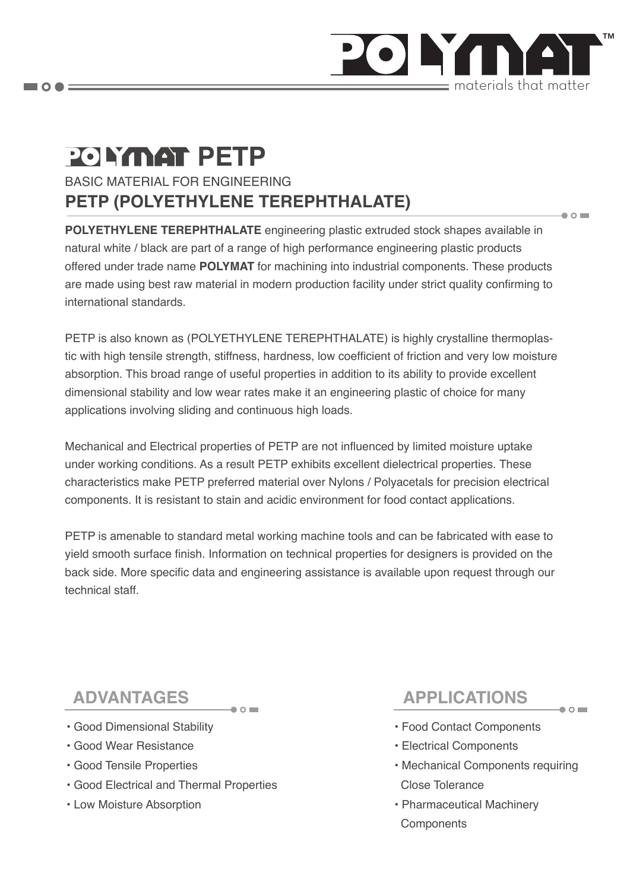

# **POLYMAT PETP**

BASIC MATERIAL FOR ENGINEERING **PETP (POLYETHYLENE TEREPHTHALATE)**

**POLYETHYLENE TEREPHTHALATE** engineering plastic extruded stock shapes available in natural white / black are part of a range of high performance engineering plastic products offered under trade name **POLYMAT** for machining into industrial components. These products are made using best raw material in modern production facility under strict quality confirming to international standards.

PETP is also known as (POLYETHYLENE TEREPHTHALATE) is highly crystalline thermoplastic with high tensile strength, stiffness, hardness, low coefficient of friction and very low moisture absorption. This broad range of useful properties in addition to its ability to provide excellent dimensional stability and low wear rates make it an engineering plastic of choice for many applications involving sliding and continuous high loads.

Mechanical and Electrical properties of PETP are not influenced by limited moisture uptake under working conditions. As a result PETP exhibits excellent dielectrical properties. These characteristics make PETP preferred material over Nylons / Polyacetals for precision electrical components. It is resistant to stain and acidic environment for food contact applications.

PETP is amenable to standard metal working machine tools and can be fabricated with ease to yield smooth surface finish. Information on technical properties for designers is provided on the back side. More specific data and engineering assistance is available upon request through our technical staff.

- Good Dimensional Stability
- Good Wear Resistance
- Good Tensile Properties
- Good Electrical and Thermal Properties
- Low Moisture Absorption

## **ADVANTAGES APPLICATIONS**

 $\bullet$   $\circ$   $\blacksquare$ 

 $\bullet$  0  $\blacksquare$ 

- Food Contact Components
- Electrical Components
- Mechanical Components requiring Close Tolerance
- Pharmaceutical Machinery **Components**

 $\blacksquare$   $\bigcirc$   $\spadesuit$   $\equiv$